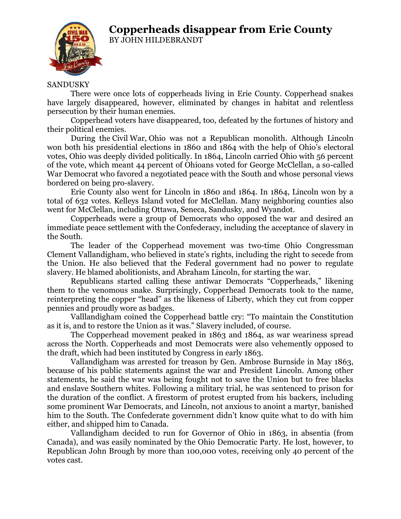## **Copperheads disappear from Erie County**



BY JOHN HILDEBRANDT

## SANDUSKY

There were once lots of copperheads living in Erie County. Copperhead snakes have largely disappeared, however, eliminated by changes in habitat and relentless persecution by their human enemies.

Copperhead voters have disappeared, too, defeated by the fortunes of history and their political enemies.

During the Civil War, Ohio was not a Republican monolith. Although Lincoln won both his presidential elections in 1860 and 1864 with the help of Ohio's electoral votes, Ohio was deeply divided politically. In 1864, Lincoln carried Ohio with 56 percent of the vote, which meant 44 percent of Ohioans voted for George McClellan, a so-called War Democrat who favored a negotiated peace with the South and whose personal views bordered on being pro-slavery.

Erie County also went for Lincoln in 1860 and 1864. In 1864, Lincoln won by a total of 632 votes. Kelleys Island voted for McClellan. Many neighboring counties also went for McClellan, including Ottawa, Seneca, Sandusky, and Wyandot.

Copperheads were a group of Democrats who opposed the war and desired an immediate peace settlement with the Confederacy, including the acceptance of slavery in the South.

The leader of the Copperhead movement was two-time Ohio Congressman Clement Vallandigham, who believed in state's rights, including the right to secede from the Union. He also believed that the Federal government had no power to regulate slavery. He blamed abolitionists, and Abraham Lincoln, for starting the war.

Republicans started calling these antiwar Democrats "Copperheads," likening them to the venomous snake. Surprisingly, Copperhead Democrats took to the name, reinterpreting the copper "head" as the likeness of Liberty, which they cut from copper pennies and proudly wore as badges.

Valllandigham coined the Copperhead battle cry: "To maintain the Constitution as it is, and to restore the Union as it was." Slavery included, of course.

The Copperhead movement peaked in 1863 and 1864, as war weariness spread across the North. Copperheads and most Democrats were also vehemently opposed to the draft, which had been instituted by Congress in early 1863.

Vallandigham was arrested for treason by Gen. Ambrose Burnside in May 1863, because of his public statements against the war and President Lincoln. Among other statements, he said the war was being fought not to save the Union but to free blacks and enslave Southern whites. Following a military trial, he was sentenced to prison for the duration of the conflict. A firestorm of protest erupted from his backers, including some prominent War Democrats, and Lincoln, not anxious to anoint a martyr, banished him to the South. The Confederate government didn't know quite what to do with him either, and shipped him to Canada.

Vallandigham decided to run for Governor of Ohio in 1863, in absentia (from Canada), and was easily nominated by the Ohio Democratic Party. He lost, however, to Republican John Brough by more than 100,000 votes, receiving only 40 percent of the votes cast.